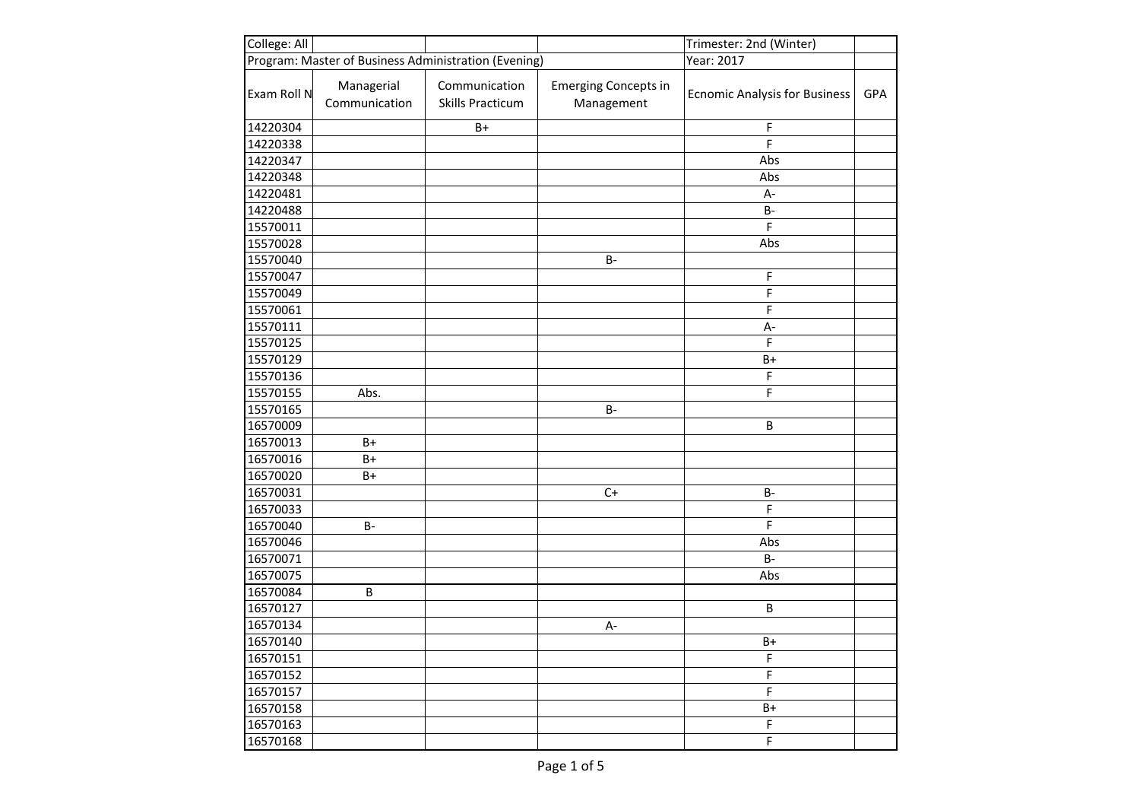| College: All |                             |                                                      |                                           | Trimester: 2nd (Winter)              |     |
|--------------|-----------------------------|------------------------------------------------------|-------------------------------------------|--------------------------------------|-----|
|              |                             | Program: Master of Business Administration (Evening) |                                           | Year: 2017                           |     |
| Exam Roll N  | Managerial<br>Communication | Communication<br><b>Skills Practicum</b>             | <b>Emerging Concepts in</b><br>Management | <b>Ecnomic Analysis for Business</b> | GPA |
| 14220304     |                             | $B+$                                                 |                                           | F                                    |     |
| 14220338     |                             |                                                      |                                           | F                                    |     |
| 14220347     |                             |                                                      |                                           | Abs                                  |     |
| 14220348     |                             |                                                      |                                           | Abs                                  |     |
| 14220481     |                             |                                                      |                                           | $A-$                                 |     |
| 14220488     |                             |                                                      |                                           | B-                                   |     |
| 15570011     |                             |                                                      |                                           | F                                    |     |
| 15570028     |                             |                                                      |                                           | Abs                                  |     |
| 15570040     |                             |                                                      | <b>B-</b>                                 |                                      |     |
| 15570047     |                             |                                                      |                                           | F                                    |     |
| 15570049     |                             |                                                      |                                           | F                                    |     |
| 15570061     |                             |                                                      |                                           | F                                    |     |
| 15570111     |                             |                                                      |                                           | $A -$                                |     |
| 15570125     |                             |                                                      |                                           | F                                    |     |
| 15570129     |                             |                                                      |                                           | $B+$                                 |     |
| 15570136     |                             |                                                      |                                           | F                                    |     |
| 15570155     | Abs.                        |                                                      |                                           | F                                    |     |
| 15570165     |                             |                                                      | <b>B-</b>                                 |                                      |     |
| 16570009     |                             |                                                      |                                           | B                                    |     |
| 16570013     | $B+$                        |                                                      |                                           |                                      |     |
| 16570016     | $B+$                        |                                                      |                                           |                                      |     |
| 16570020     | $B+$                        |                                                      |                                           |                                      |     |
| 16570031     |                             |                                                      | $C+$                                      | B-                                   |     |
| 16570033     |                             |                                                      |                                           | F                                    |     |
| 16570040     | $B -$                       |                                                      |                                           | F                                    |     |
| 16570046     |                             |                                                      |                                           | Abs                                  |     |
| 16570071     |                             |                                                      |                                           | $B -$                                |     |
| 16570075     |                             |                                                      |                                           | Abs                                  |     |
| 16570084     | B                           |                                                      |                                           |                                      |     |
| 16570127     |                             |                                                      |                                           | B                                    |     |
| 16570134     |                             |                                                      | $A -$                                     |                                      |     |
| 16570140     |                             |                                                      |                                           | $B+$                                 |     |
| 16570151     |                             |                                                      |                                           | F                                    |     |
| 16570152     |                             |                                                      |                                           | F                                    |     |
| 16570157     |                             |                                                      |                                           | F                                    |     |
| 16570158     |                             |                                                      |                                           | $B+$                                 |     |
| 16570163     |                             |                                                      |                                           | F                                    |     |
| 16570168     |                             |                                                      |                                           | F                                    |     |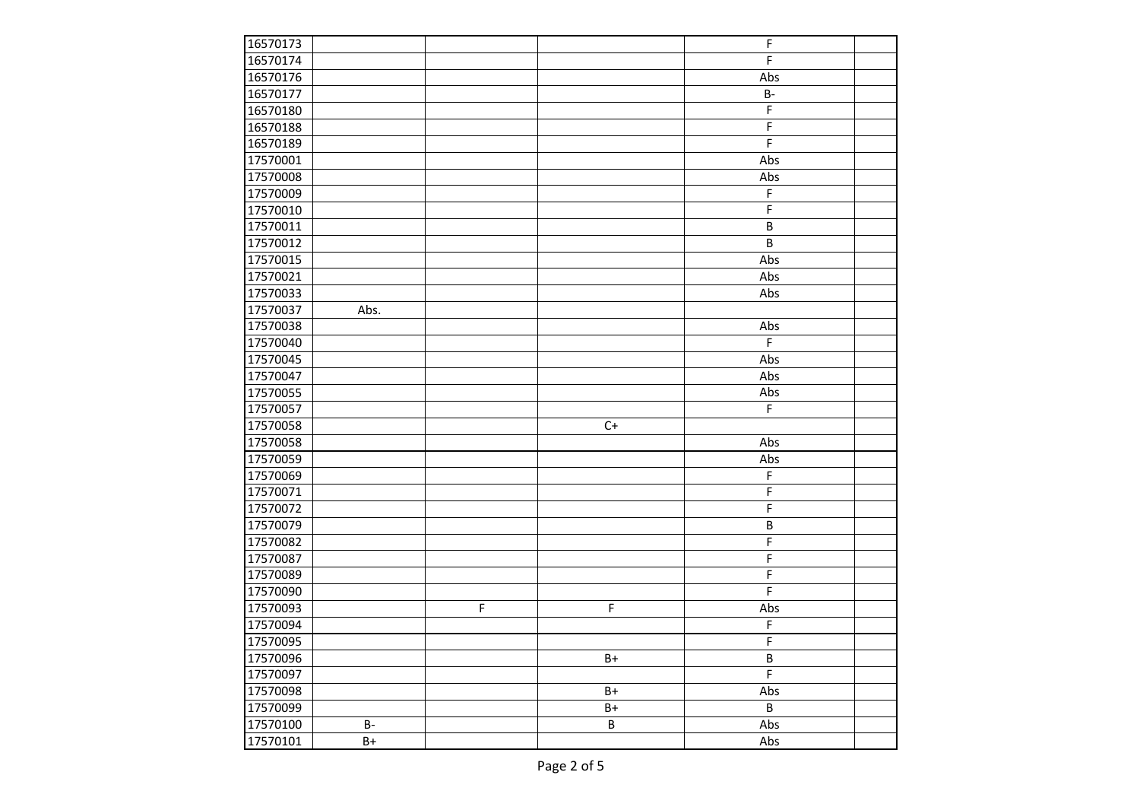| 16570173 |           |   |          | F              |  |
|----------|-----------|---|----------|----------------|--|
| 16570174 |           |   |          | F              |  |
| 16570176 |           |   |          | Abs            |  |
| 16570177 |           |   |          | $B -$          |  |
| 16570180 |           |   |          | F              |  |
| 16570188 |           |   |          | F              |  |
| 16570189 |           |   |          | $\mathsf F$    |  |
| 17570001 |           |   |          | Abs            |  |
| 17570008 |           |   |          | Abs            |  |
| 17570009 |           |   |          | F              |  |
| 17570010 |           |   |          | $\mathsf F$    |  |
| 17570011 |           |   |          | $\sf B$        |  |
| 17570012 |           |   |          | $\overline{B}$ |  |
| 17570015 |           |   |          | Abs            |  |
| 17570021 |           |   |          | Abs            |  |
| 17570033 |           |   |          | Abs            |  |
| 17570037 | Abs.      |   |          |                |  |
| 17570038 |           |   |          | Abs            |  |
| 17570040 |           |   |          | F              |  |
| 17570045 |           |   |          | Abs            |  |
| 17570047 |           |   |          | Abs            |  |
| 17570055 |           |   |          | Abs            |  |
| 17570057 |           |   |          | F              |  |
| 17570058 |           |   | $C+$     |                |  |
| 17570058 |           |   |          | Abs            |  |
| 17570059 |           |   |          | Abs            |  |
| 17570069 |           |   |          | F              |  |
| 17570071 |           |   |          | F              |  |
| 17570072 |           |   |          | F              |  |
| 17570079 |           |   |          | $\sf B$        |  |
| 17570082 |           |   |          | F              |  |
| 17570087 |           |   |          | F              |  |
| 17570089 |           |   |          | F              |  |
| 17570090 |           |   |          | F              |  |
| 17570093 |           | F | F        | Abs            |  |
| 17570094 |           |   |          | F              |  |
| 17570095 |           |   |          | F              |  |
| 17570096 |           |   | $B+$     | B              |  |
| 17570097 |           |   |          | $\mathsf F$    |  |
| 17570098 |           |   | $B+$     | Abs            |  |
| 17570099 |           |   | $B+$     | B              |  |
| 17570100 | <b>B-</b> |   | $\sf{B}$ | Abs            |  |
| 17570101 | $B+$      |   |          | Abs            |  |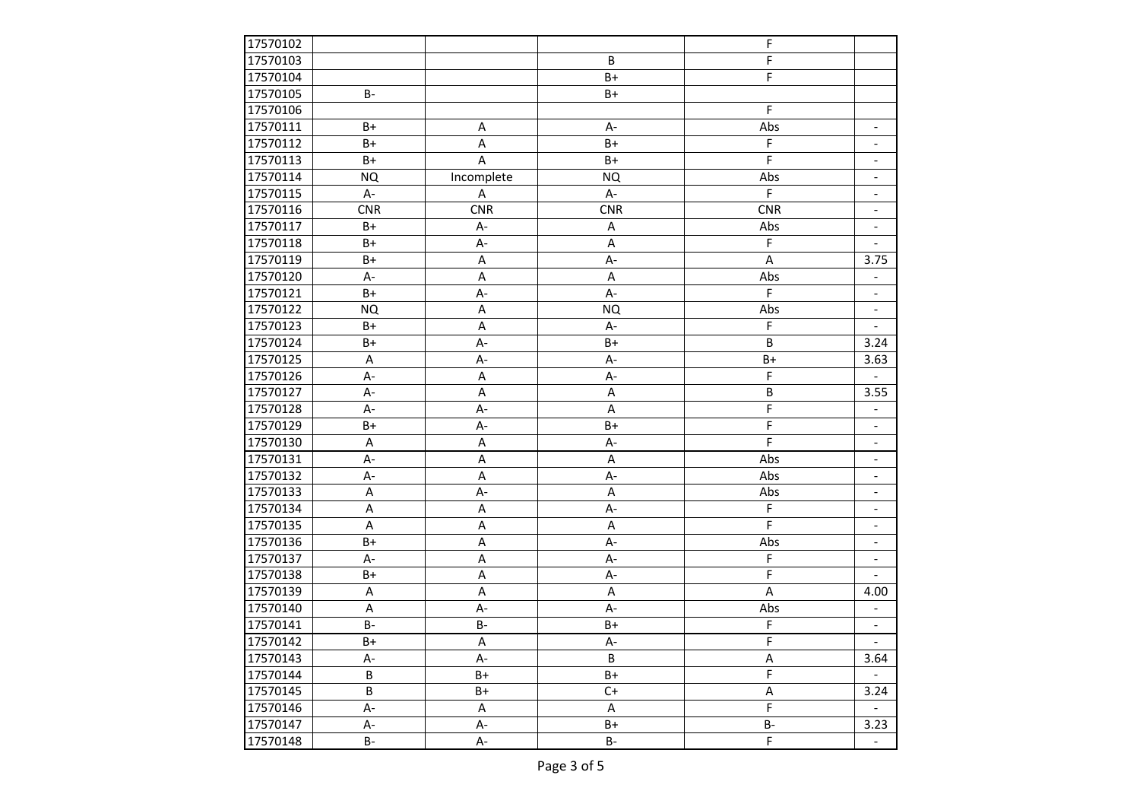| 17570102 |            |             |            | F              |                          |
|----------|------------|-------------|------------|----------------|--------------------------|
| 17570103 |            |             | B          | F              |                          |
| 17570104 |            |             | $B+$       | F              |                          |
| 17570105 | <b>B-</b>  |             | $B+$       |                |                          |
| 17570106 |            |             |            | F              |                          |
| 17570111 | $B+$       | Α           | A-         | Abs            | $\overline{\phantom{a}}$ |
| 17570112 | $B+$       | A           | $B+$       | F              | $\overline{\phantom{a}}$ |
| 17570113 | $B+$       | A           | $B+$       | F              | $\overline{\phantom{a}}$ |
| 17570114 | <b>NQ</b>  | Incomplete  | <b>NQ</b>  | Abs            | $\overline{\phantom{a}}$ |
| 17570115 | A-         | A           | $A -$      | F              | $\overline{\phantom{a}}$ |
| 17570116 | <b>CNR</b> | <b>CNR</b>  | <b>CNR</b> | CNR            | $\overline{\phantom{a}}$ |
| 17570117 | B+         | A-          | Α          | Abs            | $\overline{\phantom{a}}$ |
| 17570118 | $B+$       | A-          | A          | $\mathsf F$    |                          |
| 17570119 | $B+$       | A           | A-         | A              | 3.75                     |
| 17570120 | А-         | A           | A          | Abs            |                          |
| 17570121 | $B+$       | A-          | A-         | $\mathsf F$    | $\overline{\phantom{a}}$ |
| 17570122 | NQ         | A           | <b>NQ</b>  | Abs            | $\overline{\phantom{a}}$ |
| 17570123 | $B+$       | A           | A-         | F              |                          |
| 17570124 | $B+$       | A-          | $B+$       | B              | 3.24                     |
| 17570125 | A          | $A -$       | A-         | $B+$           | 3.63                     |
| 17570126 | A-         | $\sf A$     | A-         | F              |                          |
| 17570127 | $A-$       | $\sf A$     | A          | $\sf B$        | 3.55                     |
| 17570128 | A-         | A-          | Α          | F              | $\overline{\phantom{a}}$ |
| 17570129 | $B+$       | A-          | $B+$       | F              | -                        |
| 17570130 | A          | A           | A-         | F              | $\overline{\phantom{0}}$ |
| 17570131 | A-         | A           | A          | Abs            | $\overline{\phantom{a}}$ |
| 17570132 | A-         | A           | A-         | Abs            | $\overline{\phantom{a}}$ |
| 17570133 | A          | A-          | A          | Abs            | $\overline{\phantom{a}}$ |
| 17570134 | A          | Α           | A-         | F              | $\overline{\phantom{a}}$ |
| 17570135 | A          | Α           | A          | F              | $\overline{\phantom{a}}$ |
| 17570136 | B+         | A           | A-         | Abs            | $\overline{\phantom{a}}$ |
| 17570137 | $A -$      | Α           | A-         | F              | $\overline{\phantom{a}}$ |
| 17570138 | B+         | A           | A-         | F              |                          |
| 17570139 | A          | $\sf A$     | A          | A              | 4.00                     |
| 17570140 | A          | A-          | A-         | Abs            |                          |
| 17570141 | <b>B-</b>  | <b>B-</b>   | B+         | F              | $\overline{\phantom{a}}$ |
| 17570142 | $B+$       | $\mathsf A$ | $A-$       | $\mathsf F$    |                          |
| 17570143 | А-         | A-          | B          | Α              | 3.64                     |
| 17570144 | B          | B+          | B+         | F              |                          |
| 17570145 | B          | B+          | $C+$       | Α              | 3.24                     |
| 17570146 | A-         | Α           | Α          | F              |                          |
| 17570147 | A-         | А-          | B+         | <b>B-</b>      | 3.23                     |
| 17570148 | <b>B-</b>  | А-          | <b>B-</b>  | $\overline{F}$ | $\overline{\phantom{a}}$ |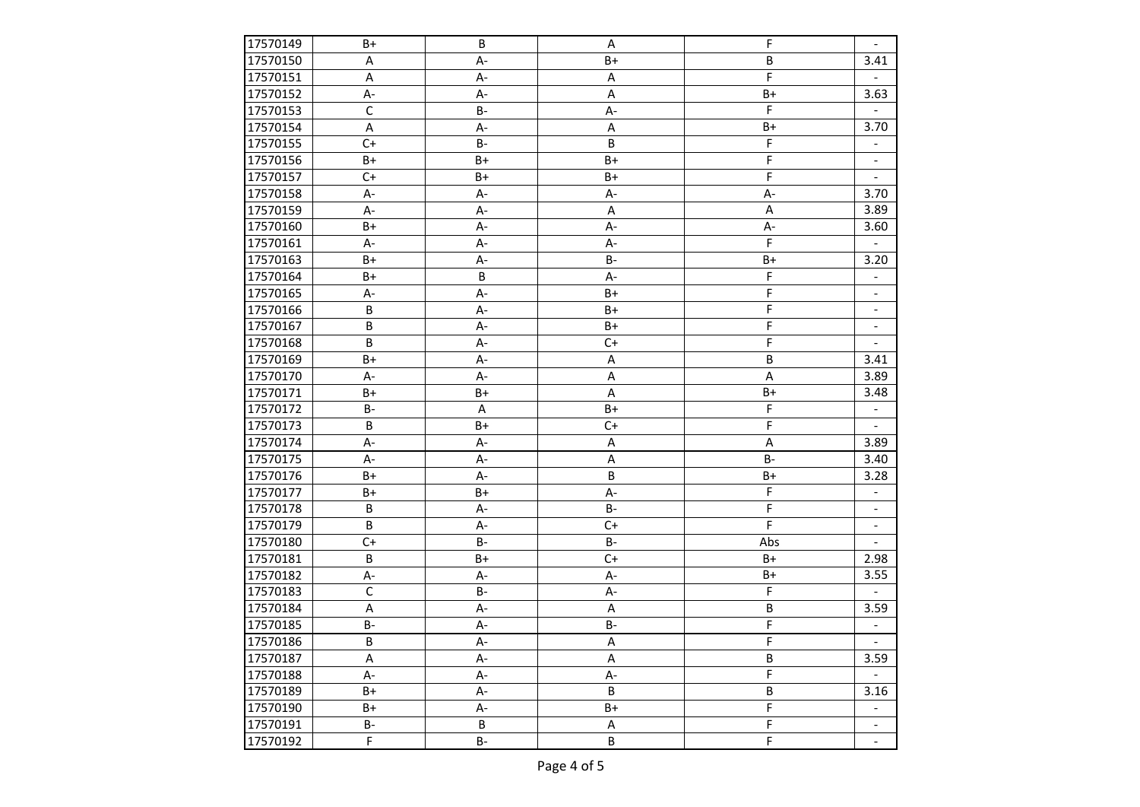| 17570149 | B+          | B         | Α         | F           | $\overline{\phantom{a}}$ |
|----------|-------------|-----------|-----------|-------------|--------------------------|
| 17570150 | Α           | A-        | $B+$      | B           | 3.41                     |
| 17570151 | A           | A-        | A         | F           |                          |
| 17570152 | A-          | A-        | A         | $B+$        | 3.63                     |
| 17570153 | $\mathsf C$ | $B -$     | A-        | F           |                          |
| 17570154 | A           | A-        | A         | $B+$        | 3.70                     |
| 17570155 | $C+$        | <b>B-</b> | B         | F           |                          |
| 17570156 | $B+$        | $B+$      | $B+$      | F           | $\overline{\phantom{a}}$ |
| 17570157 | $C+$        | B+        | B+        | F           |                          |
| 17570158 | А-          | A-        | A-        | A-          | 3.70                     |
| 17570159 | A-          | A-        | A         | A           | 3.89                     |
| 17570160 | B+          | A-        | A-        | A-          | 3.60                     |
| 17570161 | A-          | A-        | A-        | F           |                          |
| 17570163 | $B+$        | A-        | $B -$     | $B+$        | 3.20                     |
| 17570164 | B+          | $\sf B$   | A-        | F           |                          |
| 17570165 | A-          | A-        | $B+$      | F           | $\overline{\phantom{a}}$ |
| 17570166 | B           | $A -$     | $B+$      | F           | $\overline{\phantom{a}}$ |
| 17570167 | $\sf B$     | A-        | $B+$      | F           | $\overline{\phantom{a}}$ |
| 17570168 | B           | A-        | $C+$      | F           |                          |
| 17570169 | $B+$        | A-        | Α         | B           | 3.41                     |
| 17570170 | A-          | A-        | Α         | Α           | 3.89                     |
| 17570171 | $B+$        | $B+$      | Α         | $B+$        | 3.48                     |
| 17570172 | <b>B-</b>   | Α         | $B+$      | F           | $\overline{\phantom{a}}$ |
| 17570173 | B           | $B+$      | $C+$      | F           | $\overline{\phantom{a}}$ |
| 17570174 | A-          | A-        | Α         | Α           | 3.89                     |
| 17570175 | A-          | A-        | A         | <b>B-</b>   | 3.40                     |
| 17570176 | B+          | A-        | B         | $B+$        | 3.28                     |
| 17570177 | B+          | $B+$      | A-        | F           | $\overline{\phantom{a}}$ |
| 17570178 | B           | A-        | <b>B-</b> | F           | $\overline{\phantom{a}}$ |
| 17570179 | B           | A-        | $C+$      | F           | $\overline{\phantom{a}}$ |
| 17570180 | $C+$        | <b>B-</b> | $B -$     | Abs         | $\overline{\phantom{0}}$ |
| 17570181 | B           | $B+$      | $C+$      | $B+$        | 2.98                     |
| 17570182 | A-          | A-        | A-        | $B+$        | 3.55                     |
| 17570183 | $\mathsf C$ | <b>B-</b> | A-        | F           |                          |
| 17570184 | A           | A-        | A         | B           | 3.59                     |
| 17570185 | $B -$       | A-        | $B -$     | $\mathsf F$ |                          |
| 17570186 | B           | $A -$     | A         | $\mathsf F$ |                          |
| 17570187 | Α           | A-        | Α         | B           | 3.59                     |
| 17570188 | А-          | A-        | A-        | $\mathsf F$ |                          |
| 17570189 | B+          | A-        | B         | $\sf B$     | 3.16                     |
| 17570190 | B+          | A-        | B+        | $\mathsf F$ |                          |
| 17570191 | <b>B-</b>   | $\sf B$   | A         | $\mathsf F$ |                          |
| 17570192 | $\mathsf F$ | $B-$      | B         | F           | $\overline{\phantom{a}}$ |